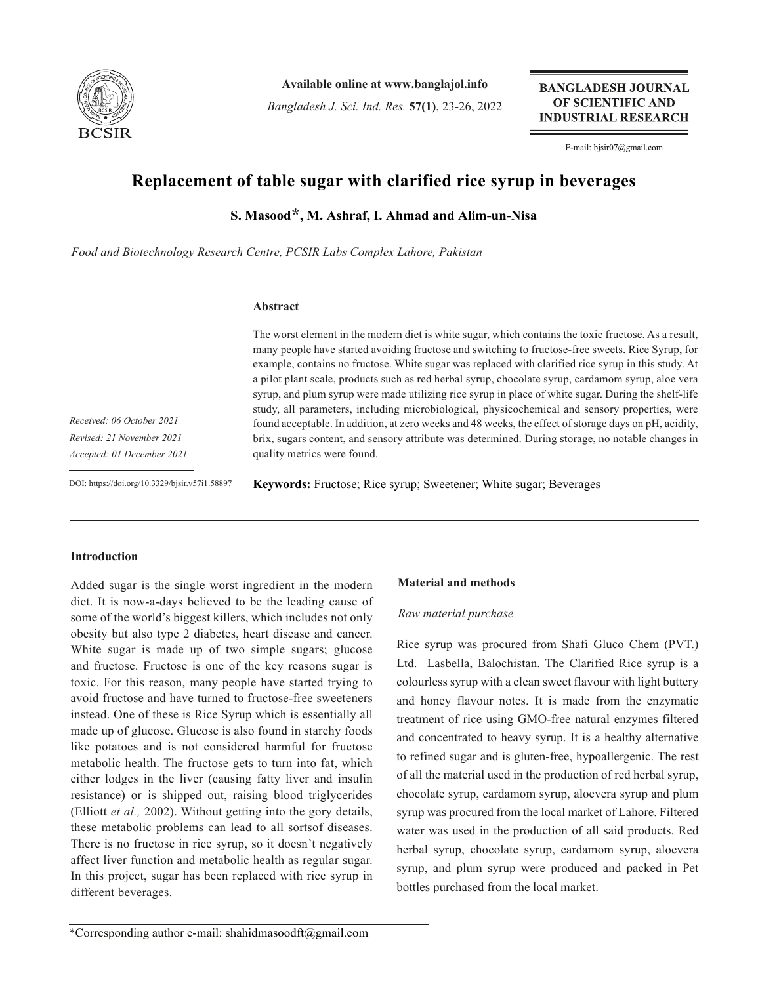

**Available online at www.banglajol.info**

*Bangladesh J. Sci. Ind. Res.* **57(1)**, 23-26, 2022

**BANGLADESH JOURNAL** OF SCIENTIFIC AND **INDUSTRIAL RESEARCH** 

E-mail: bjsir07@gmail.com

# **Replacement of table sugar with clarified rice syrup in beverages**

**S. Masood\*, M. Ashraf, I. Ahmad and Alim-un-Nisa**

*Food and Biotechnology Research Centre, PCSIR Labs Complex Lahore, Pakistan*

#### **Abstract**

The worst element in the modern diet is white sugar, which contains the toxic fructose. As a result, many people have started avoiding fructose and switching to fructose-free sweets. Rice Syrup, for example, contains no fructose. White sugar was replaced with clarified rice syrup in this study. At a pilot plant scale, products such as red herbal syrup, chocolate syrup, cardamom syrup, aloe vera syrup, and plum syrup were made utilizing rice syrup in place of white sugar. During the shelf-life study, all parameters, including microbiological, physicochemical and sensory properties, were found acceptable. In addition, at zero weeks and 48 weeks, the effect of storage days on pH, acidity, brix, sugars content, and sensory attribute was determined. During storage, no notable changes in quality metrics were found.

*Received: 06 October 2021 Revised: 21 November 2021 Accepted: 01 December 2021*

DOI: https://doi.org/10.3329/bjsir.v57i1.58897

**Keywords:** Fructose; Rice syrup; Sweetener; White sugar; Beverages

# **Introduction**

Added sugar is the single worst ingredient in the modern diet. It is now-a-days believed to be the leading cause of some of the world's biggest killers, which includes not only obesity but also type 2 diabetes, heart disease and cancer. White sugar is made up of two simple sugars; glucose and fructose. Fructose is one of the key reasons sugar is toxic. For this reason, many people have started trying to avoid fructose and have turned to fructose-free sweeteners instead. One of these is Rice Syrup which is essentially all made up of glucose. Glucose is also found in starchy foods like potatoes and is not considered harmful for fructose metabolic health. The fructose gets to turn into fat, which either lodges in the liver (causing fatty liver and insulin resistance) or is shipped out, raising blood triglycerides (Elliott *et al.,* 2002). Without getting into the gory details, these metabolic problems can lead to all sortsof diseases. There is no fructose in rice syrup, so it doesn't negatively affect liver function and metabolic health as regular sugar. In this project, sugar has been replaced with rice syrup in different beverages.

#### **Material and methods**

#### *Raw material purchase*

Rice syrup was procured from Shafi Gluco Chem (PVT.) Ltd. Lasbella, Balochistan. The Clarified Rice syrup is a colourless syrup with a clean sweet flavour with light buttery and honey flavour notes. It is made from the enzymatic treatment of rice using GMO-free natural enzymes filtered and concentrated to heavy syrup. It is a healthy alternative to refined sugar and is gluten-free, hypoallergenic. The rest of all the material used in the production of red herbal syrup, chocolate syrup, cardamom syrup, aloevera syrup and plum syrup was procured from the local market of Lahore. Filtered water was used in the production of all said products. Red herbal syrup, chocolate syrup, cardamom syrup, aloevera syrup, and plum syrup were produced and packed in Pet bottles purchased from the local market.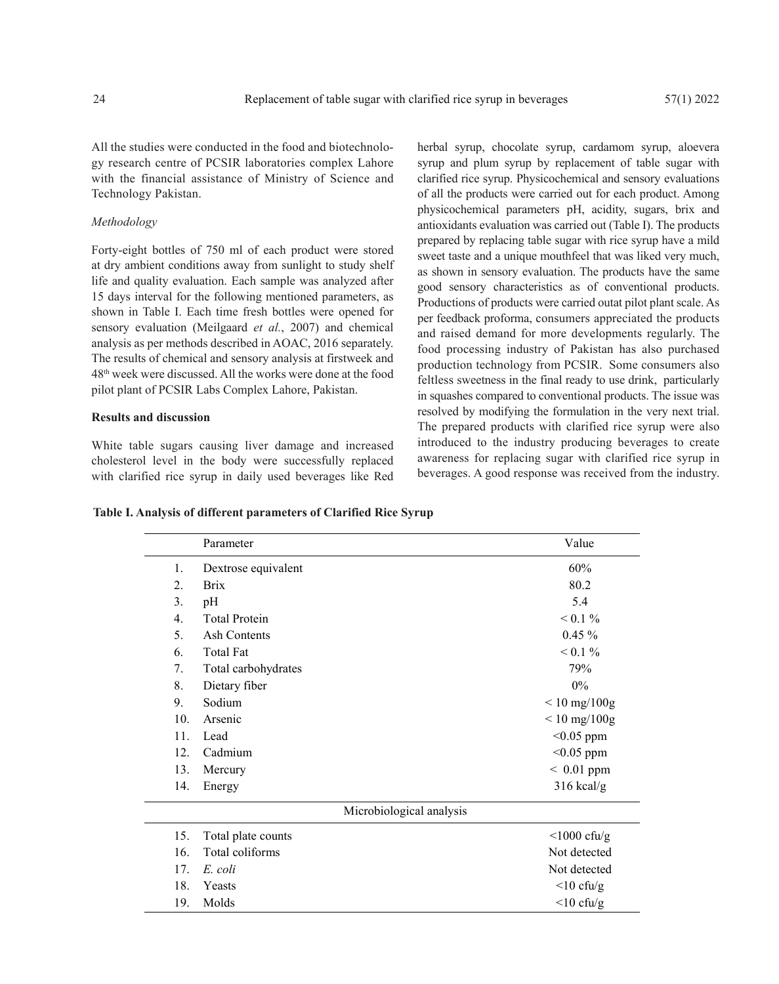All the studies were conducted in the food and biotechnology research centre of PCSIR laboratories complex Lahore with the financial assistance of Ministry of Science and Technology Pakistan.

#### *Methodology*

Forty-eight bottles of 750 ml of each product were stored at dry ambient conditions away from sunlight to study shelf life and quality evaluation. Each sample was analyzed after 15 days interval for the following mentioned parameters, as shown in Table I. Each time fresh bottles were opened for sensory evaluation (Meilgaard *et al.*, 2007) and chemical analysis as per methods described in AOAC, 2016 separately. The results of chemical and sensory analysis at firstweek and 48th week were discussed. All the works were done at the food pilot plant of PCSIR Labs Complex Lahore, Pakistan.

#### **Results and discussion**

White table sugars causing liver damage and increased cholesterol level in the body were successfully replaced with clarified rice syrup in daily used beverages like Red herbal syrup, chocolate syrup, cardamom syrup, aloevera syrup and plum syrup by replacement of table sugar with clarified rice syrup. Physicochemical and sensory evaluations of all the products were carried out for each product. Among physicochemical parameters pH, acidity, sugars, brix and antioxidants evaluation was carried out (Table I). The products prepared by replacing table sugar with rice syrup have a mild sweet taste and a unique mouthfeel that was liked very much, as shown in sensory evaluation. The products have the same good sensory characteristics as of conventional products. Productions of products were carried outat pilot plant scale. As per feedback proforma, consumers appreciated the products and raised demand for more developments regularly. The food processing industry of Pakistan has also purchased production technology from PCSIR. Some consumers also feltless sweetness in the final ready to use drink, particularly in squashes compared to conventional products. The issue was resolved by modifying the formulation in the very next trial. The prepared products with clarified rice syrup were also introduced to the industry producing beverages to create awareness for replacing sugar with clarified rice syrup in beverages. A good response was received from the industry.

**Table I. Analysis of different parameters of Clarified Rice Syrup**

|                          | Parameter            | Value             |  |  |  |  |
|--------------------------|----------------------|-------------------|--|--|--|--|
| 1.                       | Dextrose equivalent  | 60%               |  |  |  |  |
| 2.                       | <b>Brix</b>          | 80.2              |  |  |  |  |
| 3.                       | pH                   | 5.4               |  |  |  |  |
| $\overline{4}$ .         | <b>Total Protein</b> | $< 0.1 \%$        |  |  |  |  |
| 5.                       | Ash Contents         | $0.45\%$          |  |  |  |  |
| 6.                       | <b>Total Fat</b>     | $< 0.1 \%$        |  |  |  |  |
| 7.                       | Total carbohydrates  | 79%               |  |  |  |  |
| 8.                       | Dietary fiber        | $0\%$             |  |  |  |  |
| 9.                       | Sodium               | $< 10$ mg/100g    |  |  |  |  |
| 10.                      | Arsenic              | $< 10$ mg/100g    |  |  |  |  |
| 11.                      | Lead                 | $<$ 0.05 ppm      |  |  |  |  |
| 12.                      | Cadmium              | $<$ 0.05 ppm      |  |  |  |  |
| 13.                      | Mercury              | $~< 0.01$ ppm     |  |  |  |  |
| 14.                      | Energy               | $316$ kcal/g      |  |  |  |  |
| Microbiological analysis |                      |                   |  |  |  |  |
| 15.                      | Total plate counts   | $\leq 1000$ cfu/g |  |  |  |  |
| 16.                      | Total coliforms      | Not detected      |  |  |  |  |
| 17.                      | E. coli              | Not detected      |  |  |  |  |
| 18.                      | Yeasts               | $<$ 10 cfu/g      |  |  |  |  |
| 19.                      | Molds                | $\leq 10$ cfu/g   |  |  |  |  |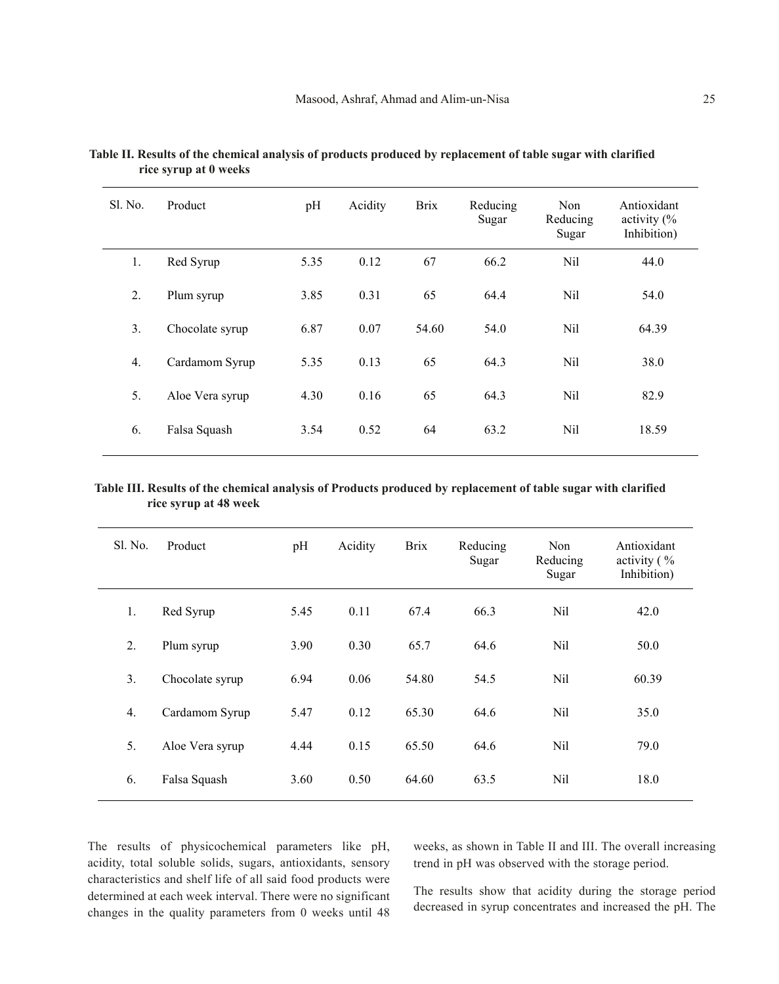| Sl. No. | Product         | pH   | Acidity | <b>Brix</b> | Reducing<br>Sugar | Non<br>Reducing<br>Sugar | Antioxidant<br>activity $\frac{6}{6}$<br>Inhibition) |
|---------|-----------------|------|---------|-------------|-------------------|--------------------------|------------------------------------------------------|
| 1.      | Red Syrup       | 5.35 | 0.12    | 67          | 66.2              | Nil                      | 44.0                                                 |
| 2.      | Plum syrup      | 3.85 | 0.31    | 65          | 64.4              | Nil                      | 54.0                                                 |
| 3.      | Chocolate syrup | 6.87 | 0.07    | 54.60       | 54.0              | Nil                      | 64.39                                                |
| 4.      | Cardamom Syrup  | 5.35 | 0.13    | 65          | 64.3              | Nil                      | 38.0                                                 |
| 5.      | Aloe Vera syrup | 4.30 | 0.16    | 65          | 64.3              | Nil                      | 82.9                                                 |
| 6.      | Falsa Squash    | 3.54 | 0.52    | 64          | 63.2              | Nil                      | 18.59                                                |

**Table II. Results of the chemical analysis of products produced by replacement of table sugar with clarified rice syrup at 0 weeks**

### **Table III. Results of the chemical analysis of Products produced by replacement of table sugar with clarified rice syrup at 48 week**

| S1. No. | Product         | pH   | Acidity | <b>Brix</b> | Reducing<br>Sugar | Non<br>Reducing<br>Sugar | Antioxidant<br>activity $\frac{6}{6}$<br>Inhibition) |
|---------|-----------------|------|---------|-------------|-------------------|--------------------------|------------------------------------------------------|
| 1.      | Red Syrup       | 5.45 | 0.11    | 67.4        | 66.3              | Nil                      | 42.0                                                 |
| 2.      | Plum syrup      | 3.90 | 0.30    | 65.7        | 64.6              | Nil                      | 50.0                                                 |
| 3.      | Chocolate syrup | 6.94 | 0.06    | 54.80       | 54.5              | Nil                      | 60.39                                                |
| 4.      | Cardamom Syrup  | 5.47 | 0.12    | 65.30       | 64.6              | Nil                      | 35.0                                                 |
| 5.      | Aloe Vera syrup | 4.44 | 0.15    | 65.50       | 64.6              | Nil                      | 79.0                                                 |
| 6.      | Falsa Squash    | 3.60 | 0.50    | 64.60       | 63.5              | Nil                      | 18.0                                                 |

The results of physicochemical parameters like pH, acidity, total soluble solids, sugars, antioxidants, sensory characteristics and shelf life of all said food products were determined at each week interval. There were no significant changes in the quality parameters from 0 weeks until 48 weeks, as shown in Table II and III. The overall increasing trend in pH was observed with the storage period.

The results show that acidity during the storage period decreased in syrup concentrates and increased the pH. The